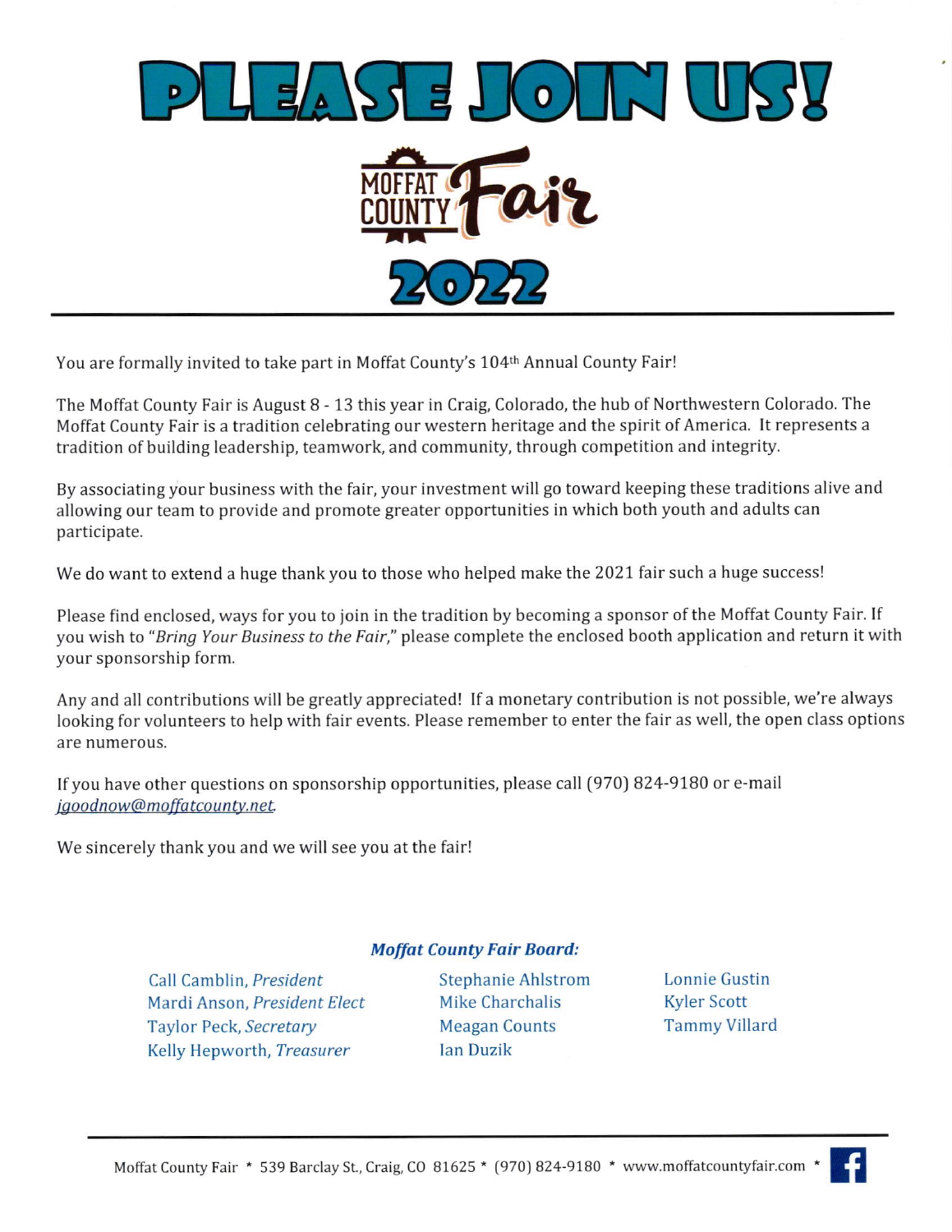

You are formally invited to take part in Moffat County's 104th Annual County Fair!

The Moffat County Fair is August 8 - 13 this year in Craig, Colorado, the hub of Northwestern Colorado. The Moffat County Fair is a tradition celebrating our western heritage and the spirit of America. It represents a tradition of building leadership, teamwork, and community, through competition and integrity.

By associating your business with the fair, your investment will go toward keeping these traditions alive and allowing our team to provide and promote greater opportunities in which both youth and adults can participate.

We do want to extend a huge thank you to those who helped make the 2021 fair such a huge success!

Please find enclosed, ways for you to join in the tradition by becoming a sponsor ofthe Moffat County Fair. lf you wish to "Bring Your Business to the Fair," please complete the enclosed booth application and return it with your sponsorship form.

Anyand all contributions will be greatly appreciated! If a monetary contribution is not possible, we're always looking for volunteers to help with fair events. Please remember to enter the fair as well, the open class options are numerous.

If you have other questions on sponsorship opportunities, please call (97O) 824-9780 or e-mail jgoodnow@moffatcounty.net.

We sincerely thank you and we will see you at the fair!

### **Moffat County Fair Board:**

Call Camblin, President Stephanie Ahlstrom Mardi Anson, President Elect Mike Charchalis Taylor Peck, Secretary Meagan Counts Kelly Hepworth, Treasurer lan Duzik

Lonnie Gustin Kyler Scott Tammy Villard